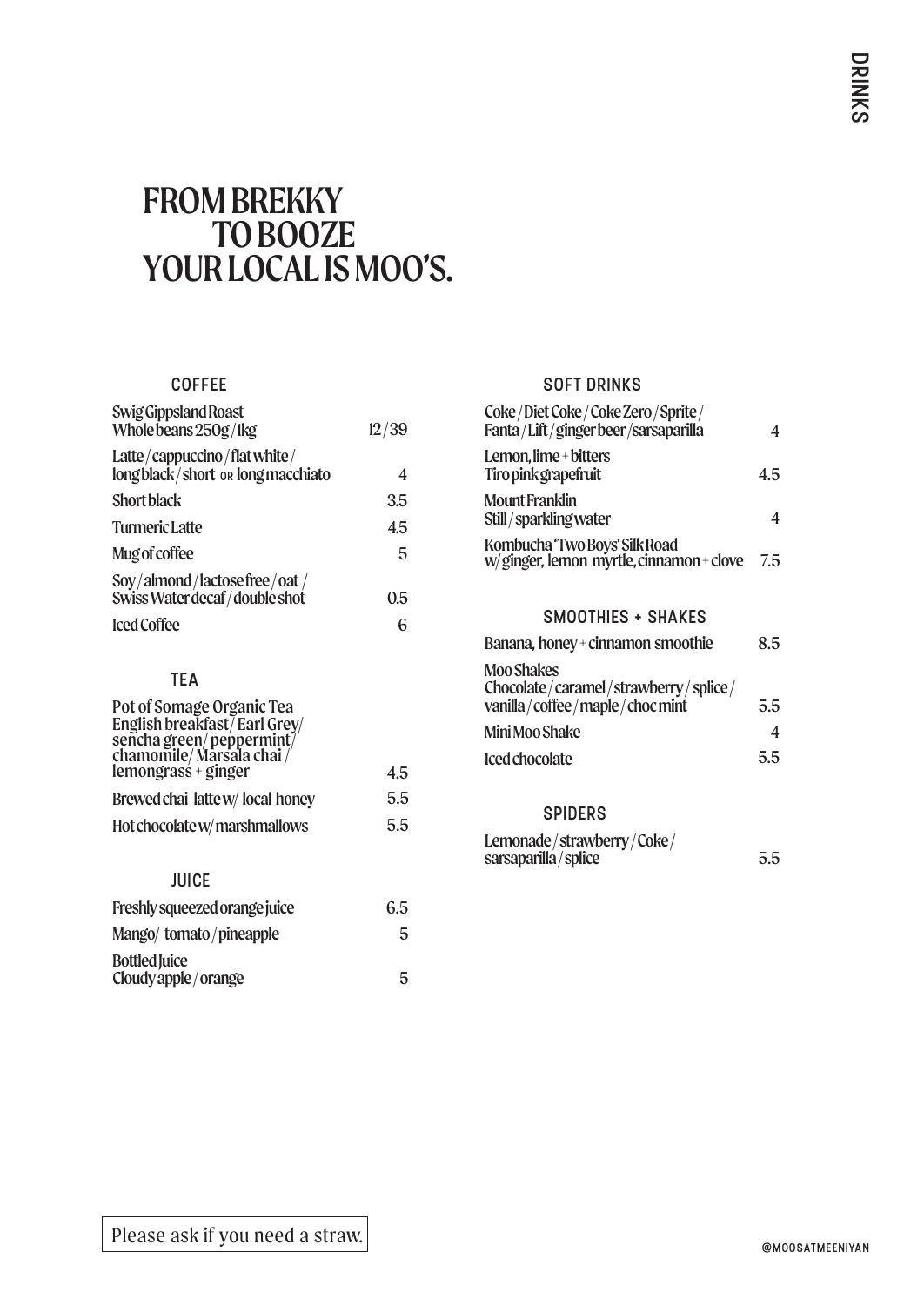# FROM BREKKY TO BOOZE YOURLOCALISMOO'S.

## COFFEE

| Swig Gippsland Roast<br>Whole beans 250g/lkg                      | 12/39 |
|-------------------------------------------------------------------|-------|
| Latte/cappuccino/flatwhite/<br>long black/short or long macchiato | 4     |
| <b>Short black</b>                                                | 3.5   |
| <b>Turmeric Latte</b>                                             | 45    |
| Mug of coffee                                                     | 5     |
| Soy/almond/lactosefree/oat/<br>SwissWaterdecaf/double shot        | 0.5   |
| <b>Iced Coffee</b>                                                | 6     |

## TEA

| Pot of Somage Organic Tea                                                                                  |     |
|------------------------------------------------------------------------------------------------------------|-----|
| English breakfast/Earl Grey/<br>sencha green/peppermint/<br>chamomile/Marsala chai/<br>lemongrass + ginger |     |
|                                                                                                            |     |
|                                                                                                            |     |
|                                                                                                            | 4.5 |
| Brewed chai latte w/ local honey                                                                           | 5.5 |
| Hot chocolate w/marshmallows                                                                               | 5.5 |

# **JUICE**

| Freshly squeezed orange juice | 6.5 |
|-------------------------------|-----|
| Mango/tomato/pineapple        | 5   |
| <b>Bottled Juice</b>          |     |
| Cloudy apple / orange         | 5   |

#### SOFT DRINKS

| Coke/Diet Coke/Coke Zero/Sprite/<br>Fanta/Lift/gingerbeer/sarsaparilla    |     |
|---------------------------------------------------------------------------|-----|
| Lemon, lime + bitters<br>Tiro pink grapefruit                             | 4.5 |
| <b>Mount Franklin</b><br>Still/sparklingwater                             |     |
| Kombucha 'Two Boys' Silk Road<br>w/ginger, lemon myrtle, cinnamon + clove | 7.5 |

### SMOOTHIES + SHAKES

| Banana, honey + cinnamon smoothie                                                    | 8.5 |
|--------------------------------------------------------------------------------------|-----|
| Moo Shakes<br>Chocolate/caramel/strawberry/splice/<br>vanilla/coffee/maple/choc mint | 5.5 |
| Mini Moo Shake                                                                       |     |
| Iced chocolate                                                                       | 5.5 |
|                                                                                      |     |

#### SPIDERS

| Lemonade/strawberry/Coke/ |     |
|---------------------------|-----|
| sarsaparilla/splice       | 5.5 |